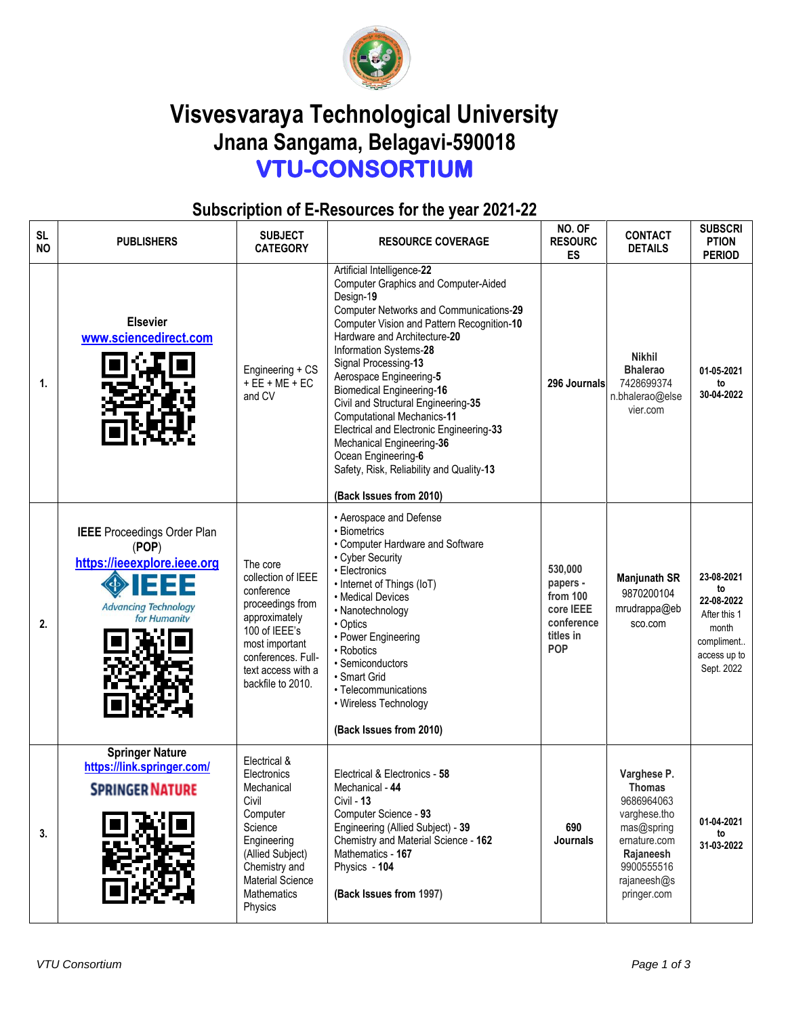

## **Visvesvaraya Technological University Jnana Sangama, Belagavi-590018 VTU-CONSORTIUM**

## **Subscription of E-Resources for the year 2021-22**

| <b>SL</b><br><b>NO</b> | <b>PUBLISHERS</b>                                                                                                         | <b>SUBJECT</b><br><b>CATEGORY</b>                                                                                                                                                         | <b>RESOURCE COVERAGE</b>                                                                                                                                                                                                                                                                                                                                                                                                                                                                                                                                                            | NO. OF<br><b>RESOURC</b><br><b>ES</b>                                                 | <b>CONTACT</b><br><b>DETAILS</b>                                                                                                                  | <b>SUBSCRI</b><br><b>PTION</b><br><b>PERIOD</b>                                                     |
|------------------------|---------------------------------------------------------------------------------------------------------------------------|-------------------------------------------------------------------------------------------------------------------------------------------------------------------------------------------|-------------------------------------------------------------------------------------------------------------------------------------------------------------------------------------------------------------------------------------------------------------------------------------------------------------------------------------------------------------------------------------------------------------------------------------------------------------------------------------------------------------------------------------------------------------------------------------|---------------------------------------------------------------------------------------|---------------------------------------------------------------------------------------------------------------------------------------------------|-----------------------------------------------------------------------------------------------------|
| 1.                     | <b>Elsevier</b><br>www.sciencedirect.com                                                                                  | Engineering + CS<br>$+EE + ME + EC$<br>and CV                                                                                                                                             | Artificial Intelligence-22<br><b>Computer Graphics and Computer-Aided</b><br>Design-19<br>Computer Networks and Communications-29<br>Computer Vision and Pattern Recognition-10<br>Hardware and Architecture-20<br>Information Systems-28<br>Signal Processing-13<br>Aerospace Engineering-5<br><b>Biomedical Engineering-16</b><br>Civil and Structural Engineering-35<br><b>Computational Mechanics-11</b><br>Electrical and Electronic Engineering-33<br>Mechanical Engineering-36<br>Ocean Engineering-6<br>Safety, Risk, Reliability and Quality-13<br>(Back Issues from 2010) | 296 Journals                                                                          | <b>Nikhil</b><br><b>Bhalerao</b><br>7428699374<br>n.bhalerao@else<br>vier.com                                                                     | 01-05-2021<br>to<br>30-04-2022                                                                      |
| 2.                     | <b>IEEE</b> Proceedings Order Plan<br>(POP)<br>https://ieeexplore.ieee.org<br><b>Advancing Technology</b><br>for Humanity | The core<br>collection of IEEE<br>conference<br>proceedings from<br>approximately<br>100 of IEEE's<br>most important<br>conferences. Full-<br>text access with a<br>backfile to 2010.     | • Aerospace and Defense<br>• Biometrics<br>• Computer Hardware and Software<br>• Cyber Security<br>• Electronics<br>• Internet of Things (IoT)<br>• Medical Devices<br>• Nanotechnology<br>• Optics<br>• Power Engineering<br>• Robotics<br>• Semiconductors<br>• Smart Grid<br>• Telecommunications<br>• Wireless Technology<br>(Back Issues from 2010)                                                                                                                                                                                                                            | 530,000<br>papers -<br>from 100<br>core IEEE<br>conference<br>titles in<br><b>POP</b> | <b>Manjunath SR</b><br>9870200104<br>mrudrappa@eb<br>sco.com                                                                                      | 23-08-2021<br>to<br>22-08-2022<br>After this 1<br>month<br>compliment<br>access up to<br>Sept. 2022 |
| 3.                     | <b>Springer Nature</b><br>https://link.springer.com/<br><b>SPRINGER NATURE</b>                                            | Electrical &<br>Electronics<br>Mechanical<br>Civil<br>Computer<br>Science<br>Engineering<br>(Allied Subject)<br>Chemistry and<br><b>Material Science</b><br><b>Mathematics</b><br>Physics | Electrical & Electronics - 58<br>Mechanical - 44<br>Civil - <b>13</b><br>Computer Science - 93<br>Engineering (Allied Subject) - 39<br>Chemistry and Material Science - 162<br>Mathematics - 167<br>Physics - 104<br>(Back Issues from 1997)                                                                                                                                                                                                                                                                                                                                        | 690<br>Journals                                                                       | Varghese P.<br><b>Thomas</b><br>9686964063<br>varghese.tho<br>mas@spring<br>ernature.com<br>Rajaneesh<br>9900555516<br>rajaneesh@s<br>pringer.com | 01-04-2021<br>to<br>31-03-2022                                                                      |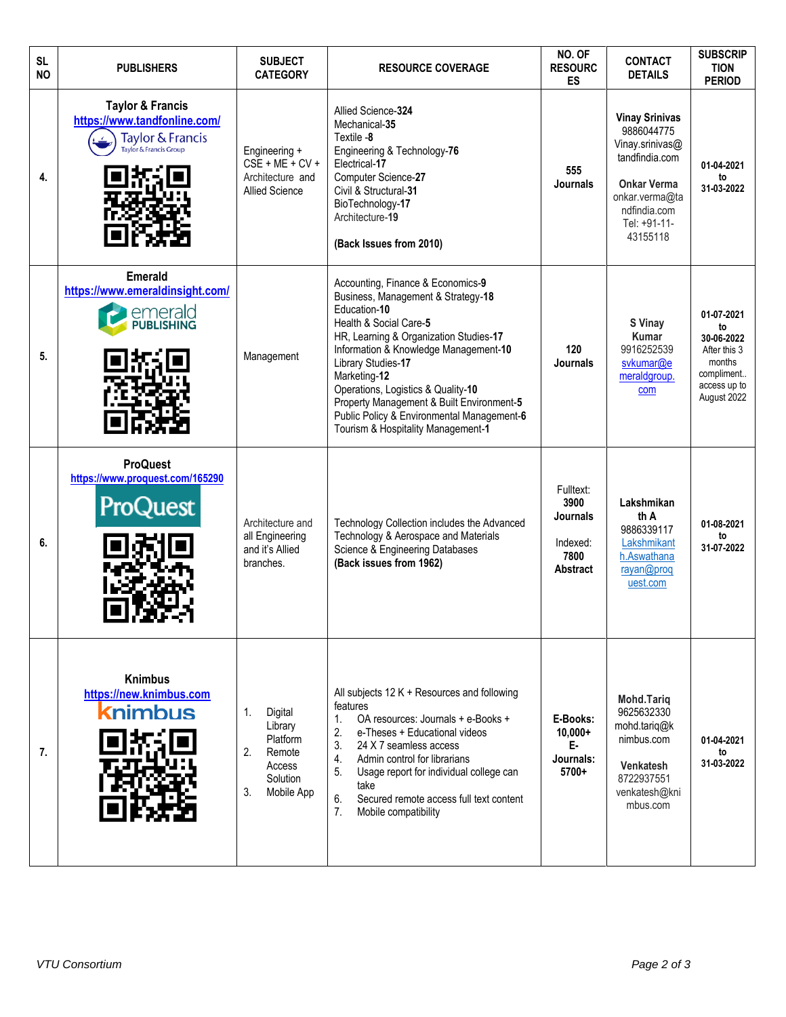| <b>SL</b><br><b>NO</b> | <b>PUBLISHERS</b>                                                                                         | <b>SUBJECT</b><br><b>CATEGORY</b>                                                              | <b>RESOURCE COVERAGE</b>                                                                                                                                                                                                                                                                                                                                                                                          | NO. OF<br><b>RESOURC</b><br><b>ES</b>                                       | <b>CONTACT</b><br><b>DETAILS</b>                                                                                                                             | <b>SUBSCRIP</b><br><b>TION</b><br><b>PERIOD</b>                                                       |
|------------------------|-----------------------------------------------------------------------------------------------------------|------------------------------------------------------------------------------------------------|-------------------------------------------------------------------------------------------------------------------------------------------------------------------------------------------------------------------------------------------------------------------------------------------------------------------------------------------------------------------------------------------------------------------|-----------------------------------------------------------------------------|--------------------------------------------------------------------------------------------------------------------------------------------------------------|-------------------------------------------------------------------------------------------------------|
| 4.                     | <b>Taylor &amp; Francis</b><br>https://www.tandfonline.com/<br>Taylor & Francis<br>Taylor & Francis Group | Engineering +<br>$CSE + ME + CV +$<br>Architecture and<br><b>Allied Science</b>                | Allied Science-324<br>Mechanical-35<br>Textile -8<br>Engineering & Technology-76<br>Electrical-17<br>Computer Science-27<br>Civil & Structural-31<br>BioTechnology-17<br>Architecture-19<br>(Back Issues from 2010)                                                                                                                                                                                               | 555<br><b>Journals</b>                                                      | <b>Vinay Srinivas</b><br>9886044775<br>Vinay.srinivas@<br>tandfindia.com<br><b>Onkar Verma</b><br>onkar.verma@ta<br>ndfindia.com<br>Tel: +91-11-<br>43155118 | 01-04-2021<br>to<br>31-03-2022                                                                        |
| 5.                     | <b>Emerald</b><br>https://www.emeraldinsight.com/<br>emerald<br>PUBLISHING                                | Management                                                                                     | Accounting, Finance & Economics-9<br>Business, Management & Strategy-18<br>Education-10<br>Health & Social Care-5<br>HR, Learning & Organization Studies-17<br>Information & Knowledge Management-10<br>Library Studies-17<br>Marketing-12<br>Operations, Logistics & Quality-10<br>Property Management & Built Environment-5<br>Public Policy & Environmental Management-6<br>Tourism & Hospitality Management-1 | 120<br><b>Journals</b>                                                      | S Vinay<br><b>Kumar</b><br>9916252539<br>svkumar@e<br>meraldgroup.<br>com                                                                                    | 01-07-2021<br>to<br>30-06-2022<br>After this 3<br>months<br>compliment<br>access up to<br>August 2022 |
| 6.                     | <b>ProQuest</b><br>https://www.proquest.com/165290<br>ProQuest                                            | Architecture and<br>all Engineering<br>and it's Allied<br>branches.                            | Technology Collection includes the Advanced<br>Technology & Aerospace and Materials<br>Science & Engineering Databases<br>(Back issues from 1962)                                                                                                                                                                                                                                                                 | Fulltext:<br>3900<br><b>Journals</b><br>Indexed:<br>7800<br><b>Abstract</b> | Lakshmikan<br>th A<br>9886339117<br>Lakshmikant<br>h.Aswathana<br>rayan@proq<br>uest.com                                                                     | 01-08-2021<br>to<br>31-07-2022                                                                        |
| 7.                     | <b>Knimbus</b><br>https://new.knimbus.com<br><b>k</b> nimbus                                              | 1.<br>Digital<br>Library<br>Platform<br>2.<br>Remote<br>Access<br>Solution<br>3.<br>Mobile App | All subjects 12 K + Resources and following<br>features<br>OA resources: Journals + e-Books +<br>1.<br>2.<br>e-Theses + Educational videos<br>3.<br>24 X 7 seamless access<br>Admin control for librarians<br>4.<br>5.<br>Usage report for individual college can<br>take<br>6.<br>Secured remote access full text content<br>7.<br>Mobile compatibility                                                          | E-Books:<br>$10,000+$<br>E-<br>Journals:<br>5700+                           | <b>Mohd.Tariq</b><br>9625632330<br>mohd.tariq@k<br>nimbus.com<br>Venkatesh<br>8722937551<br>venkatesh@kni<br>mbus.com                                        | 01-04-2021<br>to<br>31-03-2022                                                                        |